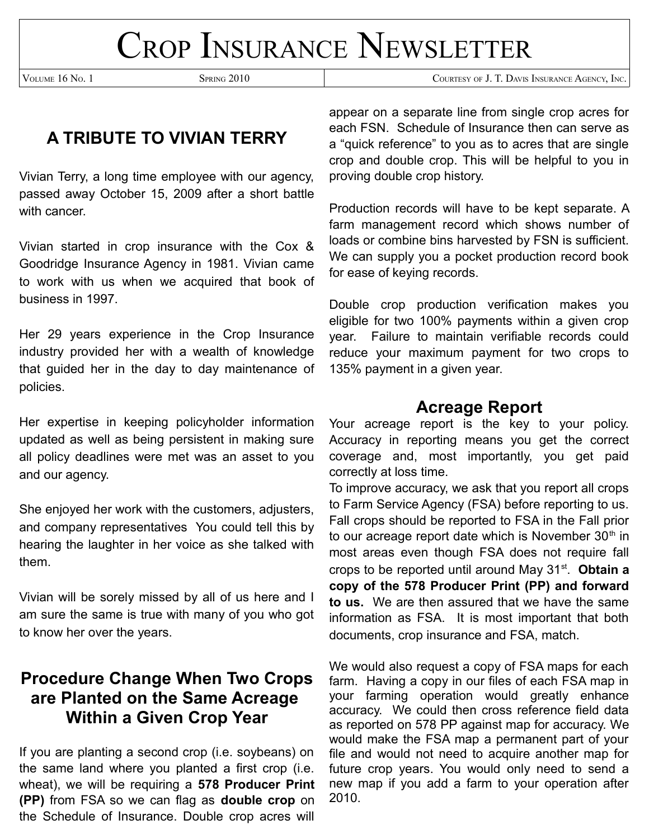CROP INSURANCE NEWSLETTER

VOLUME 16 NO. 1 SPRING 2010 COURTESY OF J. T. DAVIS INSURANCE AGENCY, INC.

## **A TRIBUTE TO VIVIAN TERRY**

Vivian Terry, a long time employee with our agency, passed away October 15, 2009 after a short battle with cancer.

Vivian started in crop insurance with the Cox & Goodridge Insurance Agency in 1981. Vivian came to work with us when we acquired that book of business in 1997.

Her 29 years experience in the Crop Insurance industry provided her with a wealth of knowledge that guided her in the day to day maintenance of policies.

Her expertise in keeping policyholder information updated as well as being persistent in making sure all policy deadlines were met was an asset to you and our agency.

She enjoyed her work with the customers, adjusters, and company representatives You could tell this by hearing the laughter in her voice as she talked with them.

Vivian will be sorely missed by all of us here and I am sure the same is true with many of you who got to know her over the years.

#### **Procedure Change When Two Crops are Planted on the Same Acreage Within a Given Crop Year**

If you are planting a second crop (i.e. soybeans) on the same land where you planted a first crop (i.e. wheat), we will be requiring a **578 Producer Print (PP)** from FSA so we can flag as **double crop** on the Schedule of Insurance. Double crop acres will

appear on a separate line from single crop acres for each FSN. Schedule of Insurance then can serve as a "quick reference" to you as to acres that are single crop and double crop. This will be helpful to you in proving double crop history.

Production records will have to be kept separate. A farm management record which shows number of loads or combine bins harvested by FSN is sufficient. We can supply you a pocket production record book for ease of keying records.

Double crop production verification makes you eligible for two 100% payments within a given crop year. Failure to maintain verifiable records could reduce your maximum payment for two crops to 135% payment in a given year.

#### **Acreage Report**

Your acreage report is the key to your policy. Accuracy in reporting means you get the correct coverage and, most importantly, you get paid correctly at loss time.

To improve accuracy, we ask that you report all crops to Farm Service Agency (FSA) before reporting to us. Fall crops should be reported to FSA in the Fall prior to our acreage report date which is November  $30<sup>th</sup>$  in most areas even though FSA does not require fall crops to be reported until around May 31st . **Obtain a copy of the 578 Producer Print (PP) and forward to us.** We are then assured that we have the same information as FSA. It is most important that both documents, crop insurance and FSA, match.

We would also request a copy of FSA maps for each farm. Having a copy in our files of each FSA map in your farming operation would greatly enhance accuracy. We could then cross reference field data as reported on 578 PP against map for accuracy. We would make the FSA map a permanent part of your file and would not need to acquire another map for future crop years. You would only need to send a new map if you add a farm to your operation after 2010.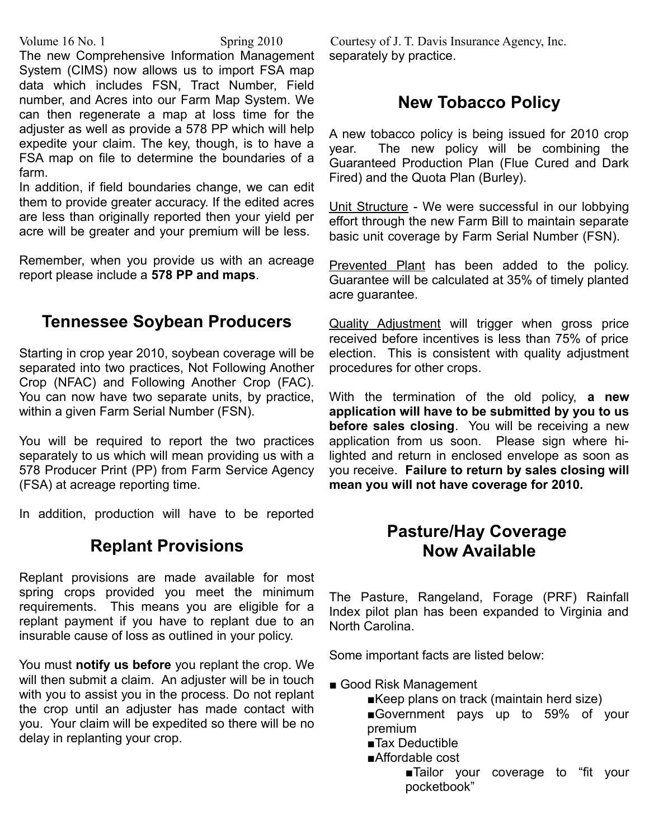The new Comprehensive Information Management System (CIMS) now allows us to import FSA map data which includes FSN, Tract Number, Field number, and Acres into our Farm Map System. We can then regenerate a map at loss time for the adjuster as well as provide a 578 PP which will help expedite your claim. The key, though, is to have a FSA map on file to determine the boundaries of a farm.

In addition, if field boundaries change, we can edit them to provide greater accuracy. If the edited acres are less than originally reported then your yield per acre will be greater and your premium will be less.

Remember, when you provide us with an acreage report please include a **578 PP and maps**.

## **Tennessee Soybean Producers**

Starting in crop year 2010, soybean coverage will be separated into two practices, Not Following Another Crop (NFAC) and Following Another Crop (FAC). You can now have two separate units, by practice, within a given Farm Serial Number (FSN).

You will be required to report the two practices separately to us which will mean providing us with a 578 Producer Print (PP) from Farm Service Agency (FSA) at acreage reporting time.

In addition, production will have to be reported

## **Replant Provisions**

Replant provisions are made available for most spring crops provided you meet the minimum requirements. This means you are eligible for a replant payment if you have to replant due to an insurable cause of loss as outlined in your policy.

You must **notify us before** you replant the crop. We will then submit a claim. An adjuster will be in touch with you to assist you in the process. Do not replant the crop until an adjuster has made contact with you. Your claim will be expedited so there will be no delay in replanting your crop.

Volume 16 No. 1 Spring 2010 Courtesy of J. T. Davis Insurance Agency, Inc. separately by practice.

# **New Tobacco Policy**

A new tobacco policy is being issued for 2010 crop year. The new policy will be combining the Guaranteed Production Plan (Flue Cured and Dark Fired) and the Quota Plan (Burley).

Unit Structure - We were successful in our lobbying effort through the new Farm Bill to maintain separate basic unit coverage by Farm Serial Number (FSN).

Prevented Plant has been added to the policy. Guarantee will be calculated at 35% of timely planted acre guarantee.

Quality Adjustment will trigger when gross price received before incentives is less than 75% of price election. This is consistent with quality adjustment procedures for other crops.

With the termination of the old policy, **a new application will have to be submitted by you to us before sales closing**. You will be receiving a new application from us soon. Please sign where hilighted and return in enclosed envelope as soon as you receive. **Failure to return by sales closing will mean you will not have coverage for 2010.**

## **Pasture/Hay Coverage Now Available**

The Pasture, Rangeland, Forage (PRF) Rainfall Index pilot plan has been expanded to Virginia and North Carolina.

Some important facts are listed below:

- Good Risk Management
	- ■Keep plans on track (maintain herd size)
	- ■Government pays up to 59% of your premium
	- ■Tax Deductible
	- ■Affordable cost

■Tailor your coverage to "fit your pocketbook"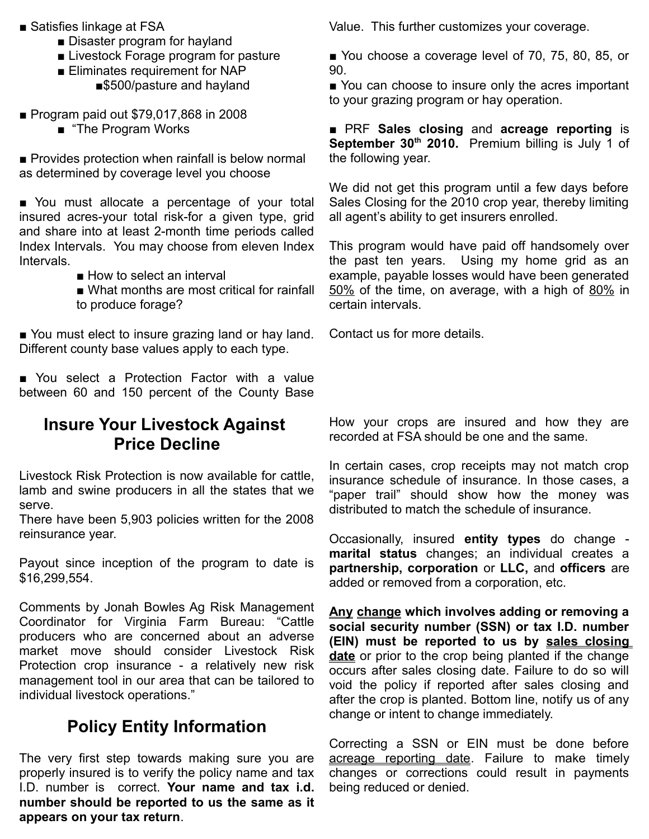- Satisfies linkage at FSA
	- Disaster program for hayland
	- Livestock Forage program for pasture
	- Eliminates requirement for NAP ■\$500/pasture and hayland
- Program paid out \$79,017,868 in 2008
	- "The Program Works

■ Provides protection when rainfall is below normal as determined by coverage level you choose

■ You must allocate a percentage of your total insured acres-your total risk-for a given type, grid and share into at least 2-month time periods called Index Intervals. You may choose from eleven Index Intervals.

■ How to select an interval

■ What months are most critical for rainfall to produce forage?

■ You must elect to insure grazing land or hay land. Different county base values apply to each type.

■ You select a Protection Factor with a value between 60 and 150 percent of the County Base

#### **Insure Your Livestock Against Price Decline**

Livestock Risk Protection is now available for cattle, lamb and swine producers in all the states that we serve.

There have been 5,903 policies written for the 2008 reinsurance year.

Payout since inception of the program to date is \$16,299,554.

Comments by Jonah Bowles Ag Risk Management Coordinator for Virginia Farm Bureau: "Cattle producers who are concerned about an adverse market move should consider Livestock Risk Protection crop insurance - a relatively new risk management tool in our area that can be tailored to individual livestock operations."

## **Policy Entity Information**

The very first step towards making sure you are properly insured is to verify the policy name and tax I.D. number is correct. **Your name and tax i.d. number should be reported to us the same as it appears on your tax return**.

Value. This further customizes your coverage.

■ You choose a coverage level of 70, 75, 80, 85, or 90.

■ You can choose to insure only the acres important to your grazing program or hay operation.

■ PRF **Sales closing** and **acreage reporting** is **September 30th 2010.** Premium billing is July 1 of the following year.

We did not get this program until a few days before Sales Closing for the 2010 crop year, thereby limiting all agent's ability to get insurers enrolled.

This program would have paid off handsomely over the past ten years. Using my home grid as an example, payable losses would have been generated 50% of the time, on average, with a high of 80% in certain intervals.

Contact us for more details.

How your crops are insured and how they are recorded at FSA should be one and the same.

In certain cases, crop receipts may not match crop insurance schedule of insurance. In those cases, a "paper trail" should show how the money was distributed to match the schedule of insurance.

Occasionally, insured **entity types** do change **marital status** changes; an individual creates a **partnership, corporation** or **LLC,** and **officers** are added or removed from a corporation, etc.

**Any change which involves adding or removing a social security number (SSN) or tax I.D. number (EIN) must be reported to us by sales closing** date or prior to the crop being planted if the change occurs after sales closing date. Failure to do so will void the policy if reported after sales closing and after the crop is planted. Bottom line, notify us of any change or intent to change immediately.

Correcting a SSN or EIN must be done before acreage reporting date. Failure to make timely changes or corrections could result in payments being reduced or denied.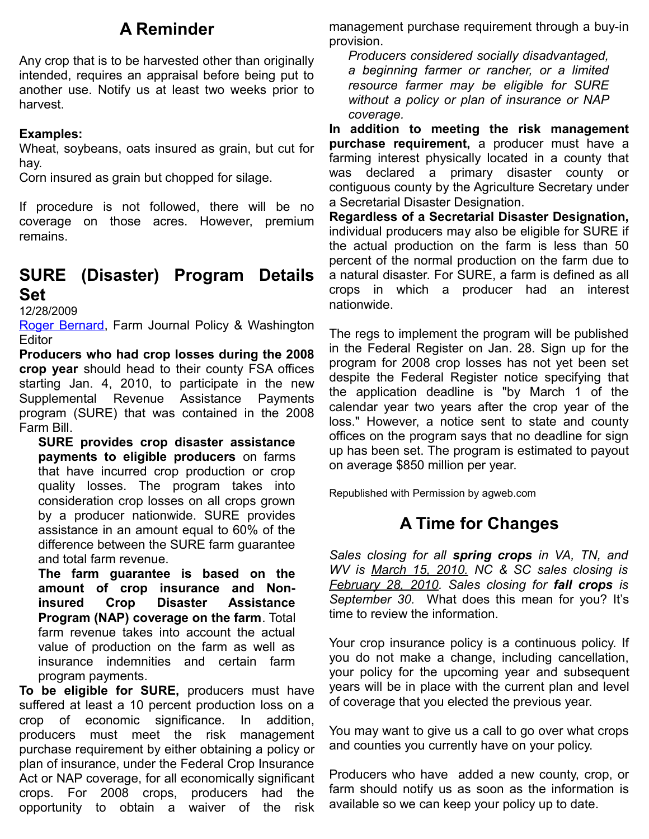## **A Reminder**

Any crop that is to be harvested other than originally intended, requires an appraisal before being put to another use. Notify us at least two weeks prior to harvest.

#### **Examples:**

Wheat, soybeans, oats insured as grain, but cut for hay.

Corn insured as grain but chopped for silage.

If procedure is not followed, there will be no coverage on those acres. However, premium remains.

#### **SURE (Disaster) Program Details Set**

12/28/2009

Roger Bernard, Farm Journal Policy & Washington **Editor** 

**Producers who had crop losses during the 2008 crop year** should head to their county FSA offices starting Jan. 4, 2010, to participate in the new Supplemental Revenue Assistance Payments program (SURE) that was contained in the 2008 Farm Bill.

**SURE provides crop disaster assistance payments to eligible producers** on farms that have incurred crop production or crop quality losses. The program takes into consideration crop losses on all crops grown by a producer nationwide. SURE provides assistance in an amount equal to 60% of the difference between the SURE farm guarantee and total farm revenue.

**The farm guarantee is based on the amount of crop insurance and Noninsured Crop Disaster Assistance Program (NAP) coverage on the farm**. Total farm revenue takes into account the actual value of production on the farm as well as insurance indemnities and certain farm program payments.

**To be eligible for SURE,** producers must have suffered at least a 10 percent production loss on a crop of economic significance. In addition, producers must meet the risk management purchase requirement by either obtaining a policy or plan of insurance, under the Federal Crop Insurance Act or NAP coverage, for all economically significant crops. For 2008 crops, producers had the opportunity to obtain a waiver of the risk

management purchase requirement through a buy-in provision.

*Producers considered socially disadvantaged, a beginning farmer or rancher, or a limited resource farmer may be eligible for SURE without a policy or plan of insurance or NAP coverage.* 

**In addition to meeting the risk management purchase requirement,** a producer must have a farming interest physically located in a county that was declared a primary disaster county or contiguous county by the Agriculture Secretary under a Secretarial Disaster Designation.

**Regardless of a Secretarial Disaster Designation,** individual producers may also be eligible for SURE if the actual production on the farm is less than 50 percent of the normal production on the farm due to a natural disaster. For SURE, a farm is defined as all crops in which a producer had an interest nationwide.

The regs to implement the program will be published in the Federal Register on Jan. 28. Sign up for the program for 2008 crop losses has not yet been set despite the Federal Register notice specifying that the application deadline is "by March 1 of the calendar year two years after the crop year of the loss." However, a notice sent to state and county offices on the program says that no deadline for sign up has been set. The program is estimated to payout on average \$850 million per year.

Republished with Permission by agweb.com

#### **A Time for Changes**

*Sales closing for all spring crops in VA, TN, and WV is March 15, 2010. NC & SC sales closing is February 28, 2010. Sales closing for fall crops is September 30.* What does this mean for you? It's time to review the information.

Your crop insurance policy is a continuous policy. If you do not make a change, including cancellation, your policy for the upcoming year and subsequent years will be in place with the current plan and level of coverage that you elected the previous year.

You may want to give us a call to go over what crops and counties you currently have on your policy.

Producers who have added a new county, crop, or farm should notify us as soon as the information is available so we can keep your policy up to date.